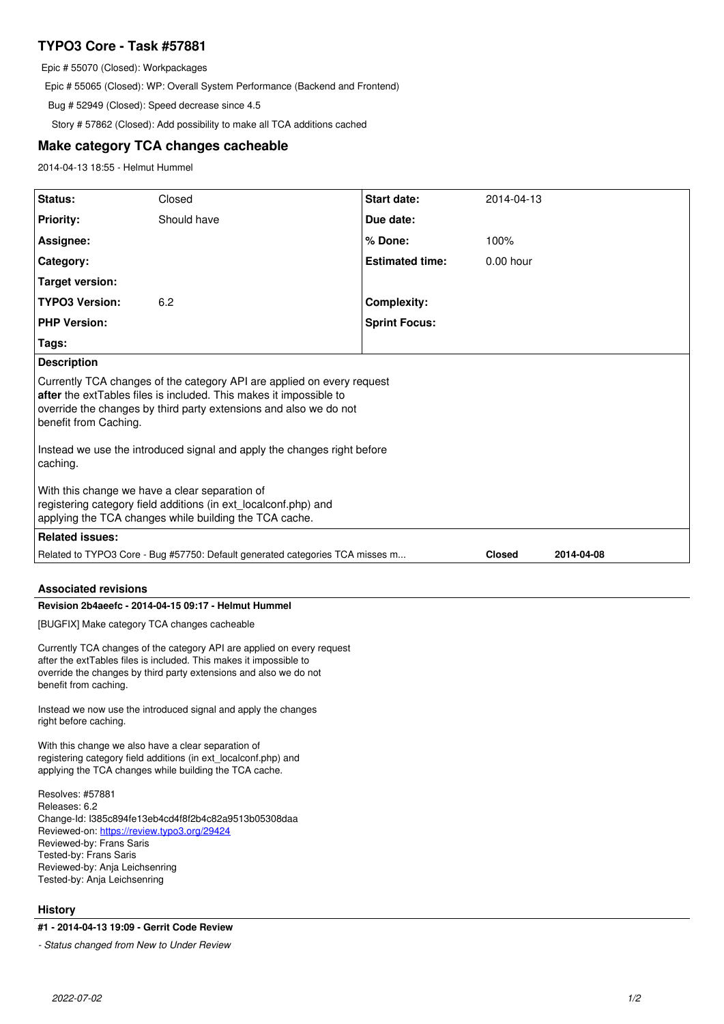# **TYPO3 Core - Task #57881**

Epic # 55070 (Closed): Workpackages

Epic # 55065 (Closed): WP: Overall System Performance (Backend and Frontend)

Bug # 52949 (Closed): Speed decrease since 4.5

Story # 57862 (Closed): Add possibility to make all TCA additions cached

## **Make category TCA changes cacheable**

2014-04-13 18:55 - Helmut Hummel

| <b>Related issues:</b>                                                                                                                                                                                                                                           |             |                        |             |  |
|------------------------------------------------------------------------------------------------------------------------------------------------------------------------------------------------------------------------------------------------------------------|-------------|------------------------|-------------|--|
| With this change we have a clear separation of<br>registering category field additions (in ext_localconf.php) and<br>applying the TCA changes while building the TCA cache.                                                                                      |             |                        |             |  |
| Instead we use the introduced signal and apply the changes right before<br>caching.                                                                                                                                                                              |             |                        |             |  |
| <b>Description</b><br>Currently TCA changes of the category API are applied on every request<br>after the extTables files is included. This makes it impossible to<br>override the changes by third party extensions and also we do not<br>benefit from Caching. |             |                        |             |  |
| Tags:                                                                                                                                                                                                                                                            |             |                        |             |  |
| <b>PHP Version:</b>                                                                                                                                                                                                                                              |             | <b>Sprint Focus:</b>   |             |  |
| <b>TYPO3 Version:</b>                                                                                                                                                                                                                                            | 6.2         | <b>Complexity:</b>     |             |  |
| <b>Target version:</b>                                                                                                                                                                                                                                           |             |                        |             |  |
| Category:                                                                                                                                                                                                                                                        |             | <b>Estimated time:</b> | $0.00$ hour |  |
| Assignee:                                                                                                                                                                                                                                                        |             | % Done:                | 100%        |  |
| <b>Priority:</b>                                                                                                                                                                                                                                                 | Should have | Due date:              |             |  |
| Status:                                                                                                                                                                                                                                                          | Closed      | Start date:            | 2014-04-13  |  |

### **Associated revisions**

## **Revision 2b4aeefc - 2014-04-15 09:17 - Helmut Hummel**

[BUGFIX] Make category TCA changes cacheable

Currently TCA changes of the category API are applied on every request after the extTables files is included. This makes it impossible to override the changes by third party extensions and also we do not benefit from caching.

Instead we now use the introduced signal and apply the changes right before caching.

With this change we also have a clear separation of registering category field additions (in ext\_localconf.php) and applying the TCA changes while building the TCA cache.

Resolves: #57881 Releases: 6.2 Change-Id: I385c894fe13eb4cd4f8f2b4c82a9513b05308daa Reviewed-on:<https://review.typo3.org/29424> Reviewed-by: Frans Saris Tested-by: Frans Saris Reviewed-by: Anja Leichsenring Tested-by: Anja Leichsenring

#### **History**

### **#1 - 2014-04-13 19:09 - Gerrit Code Review**

*- Status changed from New to Under Review*